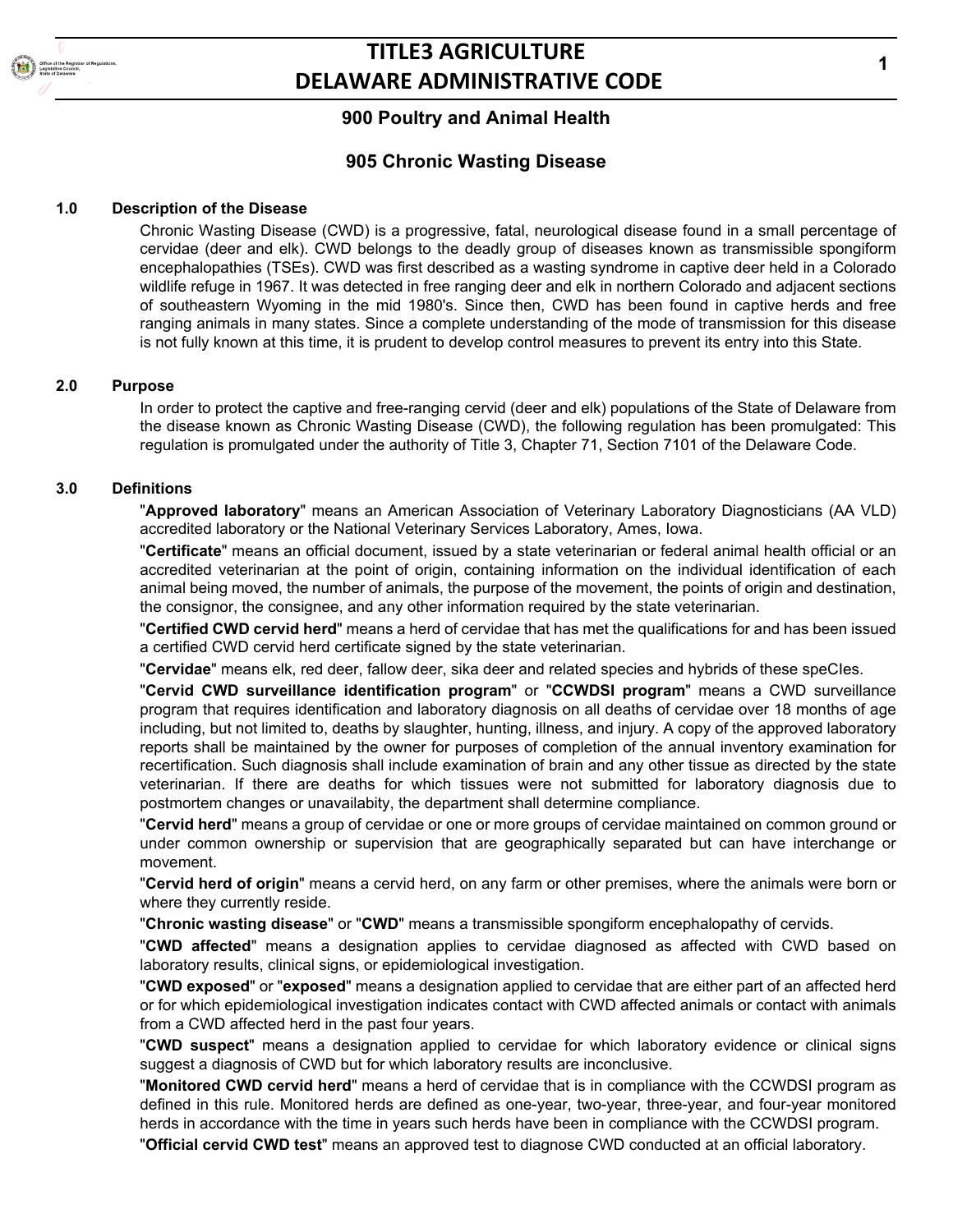

# **TITLE3 AGRICULTURE DELAWARE ADMINISTRATIVE CODE**

## **900 Poultry and Animal Health**

### **905 Chronic Wasting Disease**

### **1.0 Description of the Disease**

Chronic Wasting Disease (CWD) is a progressive, fatal, neurological disease found in a small percentage of cervidae (deer and elk). CWD belongs to the deadly group of diseases known as transmissible spongiform encephalopathies (TSEs). CWD was first described as a wasting syndrome in captive deer held in a Colorado wildlife refuge in 1967. It was detected in free ranging deer and elk in northern Colorado and adjacent sections of southeastern Wyoming in the mid 1980's. Since then, CWD has been found in captive herds and free ranging animals in many states. Since a complete understanding of the mode of transmission for this disease is not fully known at this time, it is prudent to develop control measures to prevent its entry into this State.

#### **2.0 Purpose**

In order to protect the captive and free-ranging cervid (deer and elk) populations of the State of Delaware from the disease known as Chronic Wasting Disease (CWD), the following regulation has been promulgated: This regulation is promulgated under the authority of Title 3, Chapter 71, Section 7101 of the Delaware Code.

### **3.0 Definitions**

"**Approved laboratory**" means an American Association of Veterinary Laboratory Diagnosticians (AA VLD) accredited laboratory or the National Veterinary Services Laboratory, Ames, Iowa.

"**Certificate**" means an official document, issued by a state veterinarian or federal animal health official or an accredited veterinarian at the point of origin, containing information on the individual identification of each animal being moved, the number of animals, the purpose of the movement, the points of origin and destination, the consignor, the consignee, and any other information required by the state veterinarian.

"**Certified CWD cervid herd**" means a herd of cervidae that has met the qualifications for and has been issued a certified CWD cervid herd certificate signed by the state veterinarian.

"**Cervidae**" means elk, red deer, fallow deer, sika deer and related species and hybrids of these speCIes.

"**Cervid CWD surveillance identification program**" or "**CCWDSI program**" means a CWD surveillance program that requires identification and laboratory diagnosis on all deaths of cervidae over 18 months of age including, but not limited to, deaths by slaughter, hunting, illness, and injury. A copy of the approved laboratory reports shall be maintained by the owner for purposes of completion of the annual inventory examination for recertification. Such diagnosis shall include examination of brain and any other tissue as directed by the state veterinarian. If there are deaths for which tissues were not submitted for laboratory diagnosis due to postmortem changes or unavailabity, the department shall determine compliance.

"**Cervid herd**" means a group of cervidae or one or more groups of cervidae maintained on common ground or under common ownership or supervision that are geographically separated but can have interchange or movement.

"**Cervid herd of origin**" means a cervid herd, on any farm or other premises, where the animals were born or where they currently reside.

"**Chronic wasting disease**" or "**CWD**" means a transmissible spongiform encephalopathy of cervids.

"**CWD affected**" means a designation applies to cervidae diagnosed as affected with CWD based on laboratory results, clinical signs, or epidemiological investigation.

"**CWD exposed**" or "**exposed**" means a designation applied to cervidae that are either part of an affected herd or for which epidemiological investigation indicates contact with CWD affected animals or contact with animals from a CWD affected herd in the past four years.

"**CWD suspect**" means a designation applied to cervidae for which laboratory evidence or clinical signs suggest a diagnosis of CWD but for which laboratory results are inconclusive.

"**Monitored CWD cervid herd**" means a herd of cervidae that is in compliance with the CCWDSI program as defined in this rule. Monitored herds are defined as one-year, two-year, three-year, and four-year monitored herds in accordance with the time in years such herds have been in compliance with the CCWDSI program.

"**Official cervid CWD test**" means an approved test to diagnose CWD conducted at an official laboratory.

**1**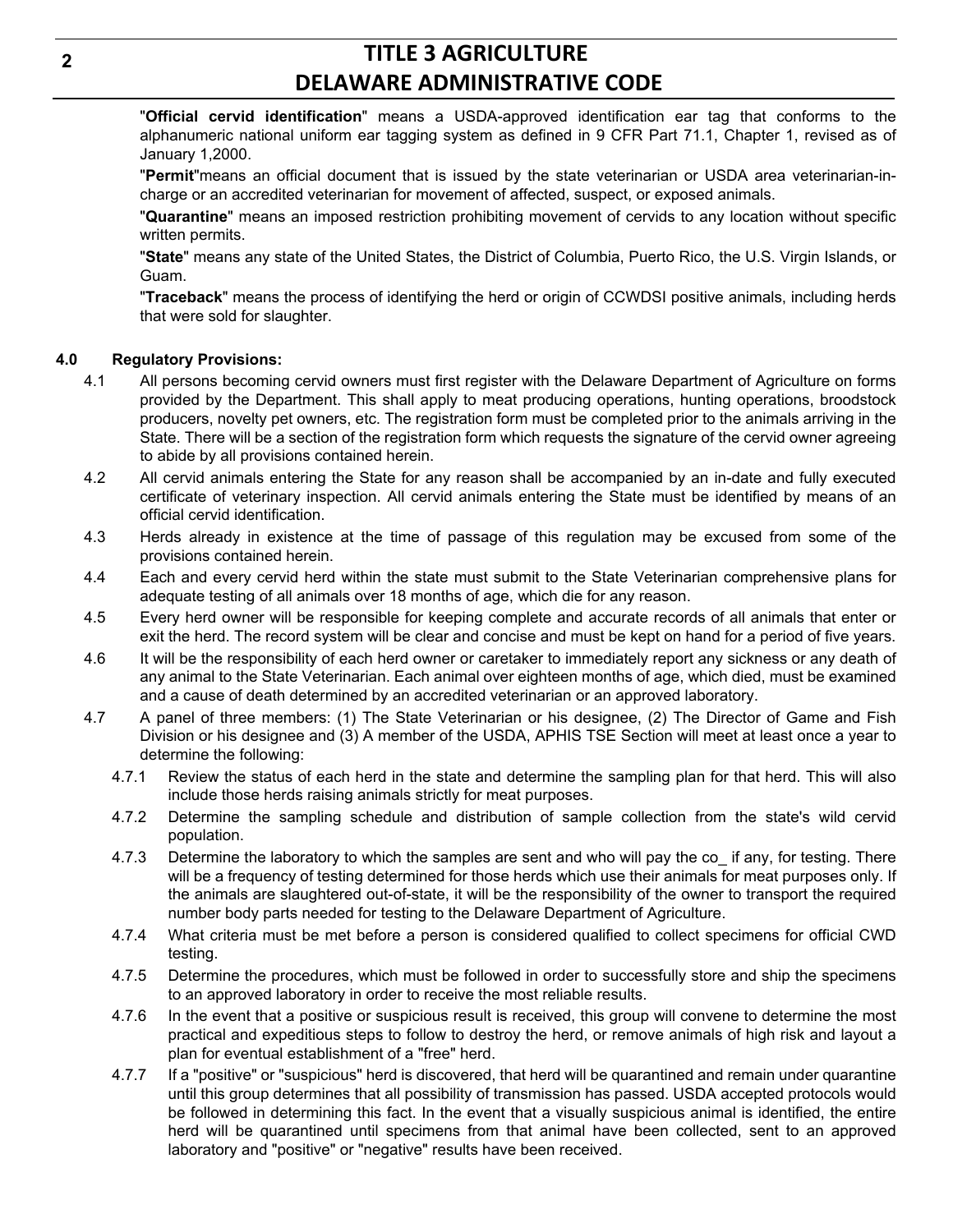# **TITLE 3 AGRICULTURE DELAWARE ADMINISTRATIVE CODE**

"**Official cervid identification**" means a USDA-approved identification ear tag that conforms to the alphanumeric national uniform ear tagging system as defined in 9 CFR Part 71.1, Chapter 1, revised as of January 1,2000.

"**Permit**"means an official document that is issued by the state veterinarian or USDA area veterinarian-incharge or an accredited veterinarian for movement of affected, suspect, or exposed animals.

"**Quarantine**" means an imposed restriction prohibiting movement of cervids to any location without specific written permits.

"**State**" means any state of the United States, the District of Columbia, Puerto Rico, the U.S. Virgin Islands, or Guam.

"**Traceback**" means the process of identifying the herd or origin of CCWDSI positive animals, including herds that were sold for slaughter.

### **4.0 Regulatory Provisions:**

- 4.1 All persons becoming cervid owners must first register with the Delaware Department of Agriculture on forms provided by the Department. This shall apply to meat producing operations, hunting operations, broodstock producers, novelty pet owners, etc. The registration form must be completed prior to the animals arriving in the State. There will be a section of the registration form which requests the signature of the cervid owner agreeing to abide by all provisions contained herein.
- 4.2 All cervid animals entering the State for any reason shall be accompanied by an in-date and fully executed certificate of veterinary inspection. All cervid animals entering the State must be identified by means of an official cervid identification.
- 4.3 Herds already in existence at the time of passage of this regulation may be excused from some of the provisions contained herein.
- 4.4 Each and every cervid herd within the state must submit to the State Veterinarian comprehensive plans for adequate testing of all animals over 18 months of age, which die for any reason.
- 4.5 Every herd owner will be responsible for keeping complete and accurate records of all animals that enter or exit the herd. The record system will be clear and concise and must be kept on hand for a period of five years.
- 4.6 It will be the responsibility of each herd owner or caretaker to immediately report any sickness or any death of any animal to the State Veterinarian. Each animal over eighteen months of age, which died, must be examined and a cause of death determined by an accredited veterinarian or an approved laboratory.
- 4.7 A panel of three members: (1) The State Veterinarian or his designee, (2) The Director of Game and Fish Division or his designee and (3) A member of the USDA, APHIS TSE Section will meet at least once a year to determine the following:
	- 4.7.1 Review the status of each herd in the state and determine the sampling plan for that herd. This will also include those herds raising animals strictly for meat purposes.
	- 4.7.2 Determine the sampling schedule and distribution of sample collection from the state's wild cervid population.
	- 4.7.3 Determine the laboratory to which the samples are sent and who will pay the co\_ if any, for testing. There will be a frequency of testing determined for those herds which use their animals for meat purposes only. If the animals are slaughtered out-of-state, it will be the responsibility of the owner to transport the required number body parts needed for testing to the Delaware Department of Agriculture.
	- 4.7.4 What criteria must be met before a person is considered qualified to collect specimens for official CWD testing.
	- 4.7.5 Determine the procedures, which must be followed in order to successfully store and ship the specimens to an approved laboratory in order to receive the most reliable results.
	- 4.7.6 In the event that a positive or suspicious result is received, this group will convene to determine the most practical and expeditious steps to follow to destroy the herd, or remove animals of high risk and layout a plan for eventual establishment of a "free" herd.
	- 4.7.7 If a "positive" or "suspicious" herd is discovered, that herd will be quarantined and remain under quarantine until this group determines that all possibility of transmission has passed. USDA accepted protocols would be followed in determining this fact. In the event that a visually suspicious animal is identified, the entire herd will be quarantined until specimens from that animal have been collected, sent to an approved laboratory and "positive" or "negative" results have been received.

**2**